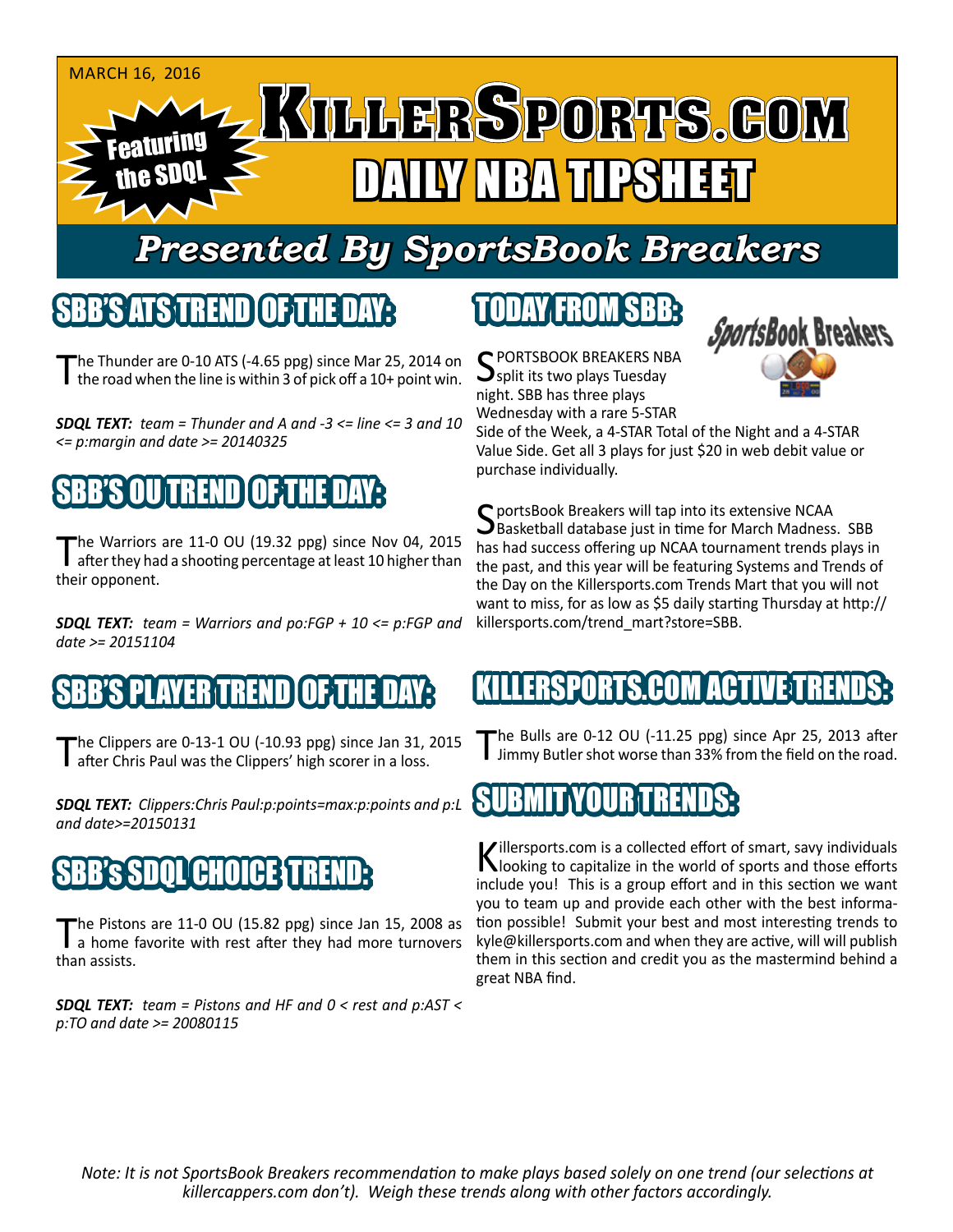

# *Presented By SportsBook Breakers*

#### SBB'S ATSTEREND

The Thunder are 0-10 ATS (-4.65 ppg) since Mar 25, 2014 on<br>The road when the line is within 3 of pick off a 10+ point win.

*SDQL TEXT: team = Thunder and A and -3 <= line <= 3 and 10 <= p:margin and date >= 20140325*

## BB'S OUTRENDIO 5T

The Warriors are 11-0 OU (19.32 ppg) since Nov 04, 2015<br>after they had a shooting percentage at least 10 higher than their opponent.

*SDQL TEXT: team = Warriors and po:FGP + 10 <= p:FGP and date >= 20151104*

### S PLAYER TREND OF THE

The Clippers are 0-13-1 OU (-10.93 ppg) since Jan 31, 2015<br>Tafter Chris Paul was the Clippers' high scorer in a loss.

*SDQL TEXT: Clippers:Chris Paul:p:points=max:p:points and p:L and date>=20150131*

## SBB's SDQL CHOICE TREND:

The Pistons are 11-0 OU (15.82 ppg) since Jan 15, 2008 as<br>a home favorite with rest after they had more turnovers than assists.

*SDQL TEXT: team = Pistons and HF and 0 < rest and p:AST < p:TO and date >= 20080115*

# TODAY FROM SBB:

C PORTSBOOK BREAKERS NBA split its two plays Tuesday night. SBB has three plays Wednesday with a rare 5-STAR



Side of the Week, a 4-STAR Total of the Night and a 4-STAR Value Side. Get all 3 plays for just \$20 in web debit value or purchase individually.

C portsBook Breakers will tap into its extensive NCAA **J**Basketball database just in time for March Madness. SBB has had success offering up NCAA tournament trends plays in the past, and this year will be featuring Systems and Trends of the Day on the Killersports.com Trends Mart that you will not want to miss, for as low as \$5 daily starting Thursday at http:// killersports.com/trend\_mart?store=SBB.

#### KILLERSPORTS.COM ACTIVE T

The Bulls are 0-12 OU (-11.25 ppg) since Apr 25, 2013 after<br>Jimmy Butler shot worse than 33% from the field on the road.

#### SUBMIT YOUR TRENDS:

Killersports.com is a collected effort of smart, savy individuals<br>Nooking to capitalize in the world of sports and those efforts include you! This is a group effort and in this section we want you to team up and provide each other with the best information possible! Submit your best and most interesting trends to kyle@killersports.com and when they are active, will will publish them in this section and credit you as the mastermind behind a great NBA find.

*Note: It is not SportsBook Breakers recommendation to make plays based solely on one trend (our selections at killercappers.com don't). Weigh these trends along with other factors accordingly.*